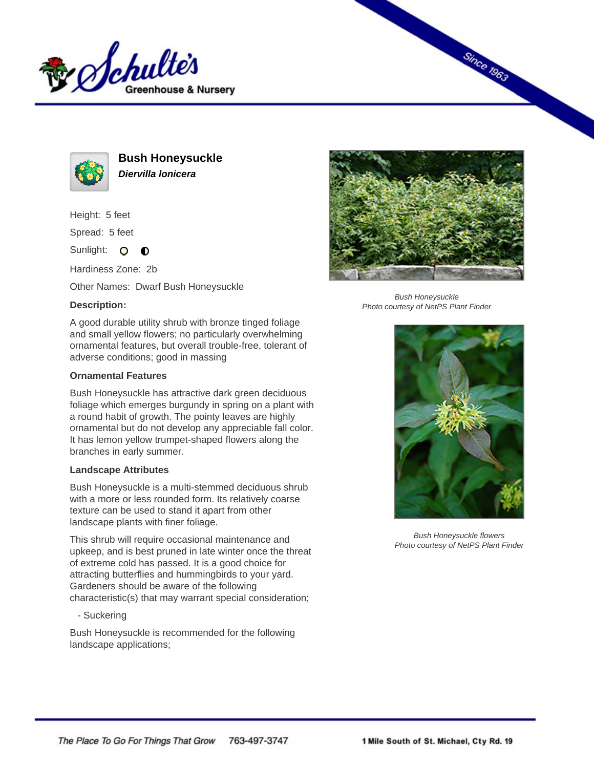



**Bush Honeysuckle Diervilla lonicera**

Height: 5 feet

Spread: 5 feet

Sunlight: O **O** 

Hardiness Zone: 2b

Other Names: Dwarf Bush Honeysuckle

## **Description:**

A good durable utility shrub with bronze tinged foliage and small yellow flowers; no particularly overwhelming ornamental features, but overall trouble-free, tolerant of adverse conditions; good in massing

## **Ornamental Features**

Bush Honeysuckle has attractive dark green deciduous foliage which emerges burgundy in spring on a plant with a round habit of growth. The pointy leaves are highly ornamental but do not develop any appreciable fall color. It has lemon yellow trumpet-shaped flowers along the branches in early summer.

## **Landscape Attributes**

Bush Honeysuckle is a multi-stemmed deciduous shrub with a more or less rounded form. Its relatively coarse texture can be used to stand it apart from other landscape plants with finer foliage.

This shrub will require occasional maintenance and upkeep, and is best pruned in late winter once the threat of extreme cold has passed. It is a good choice for attracting butterflies and hummingbirds to your yard. Gardeners should be aware of the following characteristic(s) that may warrant special consideration;

- Suckering

Bush Honeysuckle is recommended for the following landscape applications;



**Since 1963** 

Bush Honeysuckle Photo courtesy of NetPS Plant Finder



Bush Honeysuckle flowers Photo courtesy of NetPS Plant Finder